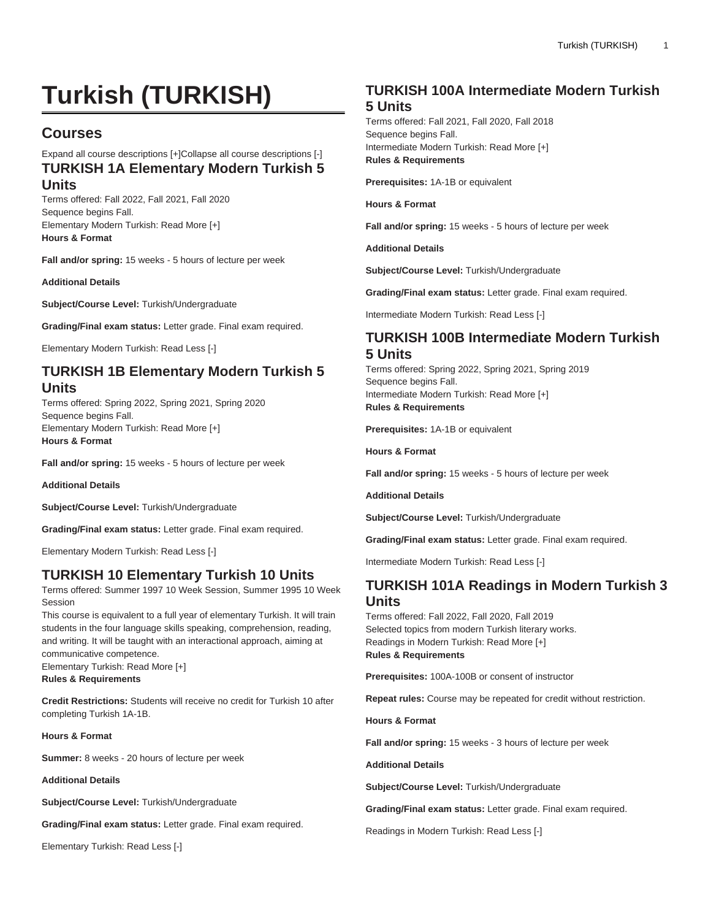# **Turkish (TURKISH)**

## **Courses**

#### Expand all course descriptions [+]Collapse all course descriptions [-] **TURKISH 1A Elementary Modern Turkish 5 Units**

Terms offered: Fall 2022, Fall 2021, Fall 2020 Sequence begins Fall. Elementary Modern Turkish: Read More [+] **Hours & Format**

**Fall and/or spring:** 15 weeks - 5 hours of lecture per week

**Additional Details**

**Subject/Course Level:** Turkish/Undergraduate

**Grading/Final exam status:** Letter grade. Final exam required.

Elementary Modern Turkish: Read Less [-]

#### **TURKISH 1B Elementary Modern Turkish 5 Units**

Terms offered: Spring 2022, Spring 2021, Spring 2020 Sequence begins Fall. Elementary Modern Turkish: Read More [+] **Hours & Format**

**Fall and/or spring:** 15 weeks - 5 hours of lecture per week

**Additional Details**

**Subject/Course Level:** Turkish/Undergraduate

**Grading/Final exam status:** Letter grade. Final exam required.

Elementary Modern Turkish: Read Less [-]

### **TURKISH 10 Elementary Turkish 10 Units**

Terms offered: Summer 1997 10 Week Session, Summer 1995 10 Week Session

This course is equivalent to a full year of elementary Turkish. It will train students in the four language skills speaking, comprehension, reading, and writing. It will be taught with an interactional approach, aiming at communicative competence.

Elementary Turkish: Read More [+]

**Rules & Requirements**

**Credit Restrictions:** Students will receive no credit for Turkish 10 after completing Turkish 1A-1B.

**Hours & Format**

**Summer:** 8 weeks - 20 hours of lecture per week

**Additional Details**

**Subject/Course Level:** Turkish/Undergraduate

**Grading/Final exam status:** Letter grade. Final exam required.

Elementary Turkish: Read Less [-]

#### **TURKISH 100A Intermediate Modern Turkish 5 Units**

Terms offered: Fall 2021, Fall 2020, Fall 2018 Sequence begins Fall. Intermediate Modern Turkish: Read More [+] **Rules & Requirements**

**Prerequisites:** 1A-1B or equivalent

**Hours & Format**

**Fall and/or spring:** 15 weeks - 5 hours of lecture per week

**Additional Details**

**Subject/Course Level:** Turkish/Undergraduate

**Grading/Final exam status:** Letter grade. Final exam required.

Intermediate Modern Turkish: Read Less [-]

#### **TURKISH 100B Intermediate Modern Turkish 5 Units**

Terms offered: Spring 2022, Spring 2021, Spring 2019 Sequence begins Fall. Intermediate Modern Turkish: Read More [+] **Rules & Requirements**

**Prerequisites:** 1A-1B or equivalent

**Hours & Format**

**Fall and/or spring:** 15 weeks - 5 hours of lecture per week

**Additional Details**

**Subject/Course Level:** Turkish/Undergraduate

**Grading/Final exam status:** Letter grade. Final exam required.

Intermediate Modern Turkish: Read Less [-]

#### **TURKISH 101A Readings in Modern Turkish 3 Units**

Terms offered: Fall 2022, Fall 2020, Fall 2019 Selected topics from modern Turkish literary works. Readings in Modern Turkish: Read More [+] **Rules & Requirements**

**Prerequisites:** 100A-100B or consent of instructor

**Repeat rules:** Course may be repeated for credit without restriction.

**Hours & Format**

**Fall and/or spring:** 15 weeks - 3 hours of lecture per week

**Additional Details**

**Subject/Course Level:** Turkish/Undergraduate

**Grading/Final exam status:** Letter grade. Final exam required.

Readings in Modern Turkish: Read Less [-]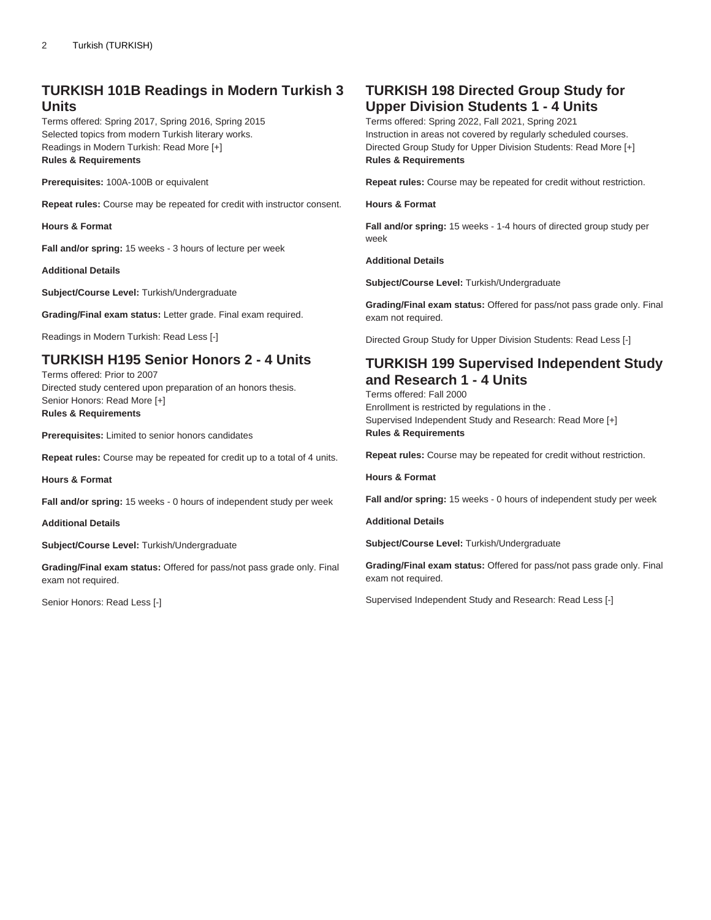### **TURKISH 101B Readings in Modern Turkish 3 Units**

Terms offered: Spring 2017, Spring 2016, Spring 2015 Selected topics from modern Turkish literary works. Readings in Modern Turkish: Read More [+] **Rules & Requirements**

**Prerequisites:** 100A-100B or equivalent

**Repeat rules:** Course may be repeated for credit with instructor consent.

**Hours & Format**

**Fall and/or spring:** 15 weeks - 3 hours of lecture per week

**Additional Details**

**Subject/Course Level:** Turkish/Undergraduate

**Grading/Final exam status:** Letter grade. Final exam required.

Readings in Modern Turkish: Read Less [-]

### **TURKISH H195 Senior Honors 2 - 4 Units**

Terms offered: Prior to 2007 Directed study centered upon preparation of an honors thesis. Senior Honors: Read More [+] **Rules & Requirements**

**Prerequisites:** Limited to senior honors candidates

**Repeat rules:** Course may be repeated for credit up to a total of 4 units.

**Hours & Format**

**Fall and/or spring:** 15 weeks - 0 hours of independent study per week

**Additional Details**

**Subject/Course Level:** Turkish/Undergraduate

**Grading/Final exam status:** Offered for pass/not pass grade only. Final exam not required.

Senior Honors: Read Less [-]

#### **TURKISH 198 Directed Group Study for Upper Division Students 1 - 4 Units**

Terms offered: Spring 2022, Fall 2021, Spring 2021 Instruction in areas not covered by regularly scheduled courses. Directed Group Study for Upper Division Students: Read More [+] **Rules & Requirements**

**Repeat rules:** Course may be repeated for credit without restriction.

**Hours & Format**

**Fall and/or spring:** 15 weeks - 1-4 hours of directed group study per week

**Additional Details**

**Subject/Course Level:** Turkish/Undergraduate

**Grading/Final exam status:** Offered for pass/not pass grade only. Final exam not required.

Directed Group Study for Upper Division Students: Read Less [-]

#### **TURKISH 199 Supervised Independent Study and Research 1 - 4 Units**

Terms offered: Fall 2000 Enrollment is restricted by regulations in the . Supervised Independent Study and Research: Read More [+] **Rules & Requirements**

**Repeat rules:** Course may be repeated for credit without restriction.

**Hours & Format**

**Fall and/or spring:** 15 weeks - 0 hours of independent study per week

**Additional Details**

**Subject/Course Level:** Turkish/Undergraduate

**Grading/Final exam status:** Offered for pass/not pass grade only. Final exam not required.

Supervised Independent Study and Research: Read Less [-]